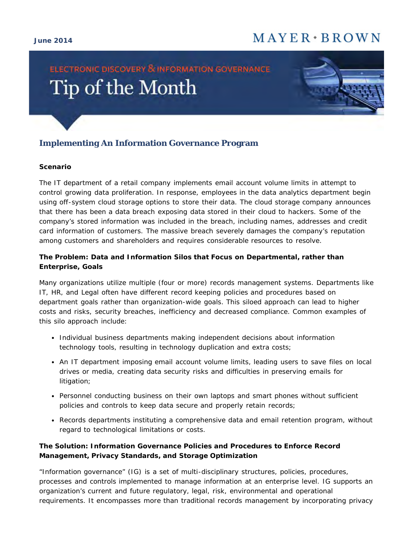#### **June 2014**

## $M$  A Y E R  $\cdot$  B R O W N

# ELECTRONIC DISCOVERY & INFORMATION GOVERNANCE Tip of the Month



### **Implementing An Information Governance Program**

#### **Scenario**

The IT department of a retail company implements email account volume limits in attempt to control growing data proliferation. In response, employees in the data analytics department begin using off-system cloud storage options to store their data. The cloud storage company announces that there has been a data breach exposing data stored in their cloud to hackers. Some of the company's stored information was included in the breach, including names, addresses and credit card information of customers. The massive breach severely damages the company's reputation among customers and shareholders and requires considerable resources to resolve.

#### **The Problem: Data and Information Silos that Focus on Departmental, rather than Enterprise, Goals**

Many organizations utilize multiple (four or more) records management systems. Departments like IT, HR, and Legal often have different record keeping policies and procedures based on department goals rather than organization-wide goals. This siloed approach can lead to higher costs and risks, security breaches, inefficiency and decreased compliance. Common examples of this silo approach include:

- Individual business departments making independent decisions about information technology tools, resulting in technology duplication and extra costs;
- An IT department imposing email account volume limits, leading users to save files on local drives or media, creating data security risks and difficulties in preserving emails for litigation;
- Personnel conducting business on their own laptops and smart phones without sufficient policies and controls to keep data secure and properly retain records;
- Records departments instituting a comprehensive data and email retention program, without regard to technological limitations or costs.

#### **The Solution: Information Governance Policies and Procedures to Enforce Record Management, Privacy Standards, and Storage Optimization**

"Information governance" (IG) is a set of multi-disciplinary structures, policies, procedures, processes and controls implemented to manage information at an enterprise level. IG supports an organization's current and future regulatory, legal, risk, environmental and operational requirements. It encompasses more than traditional records management by incorporating privacy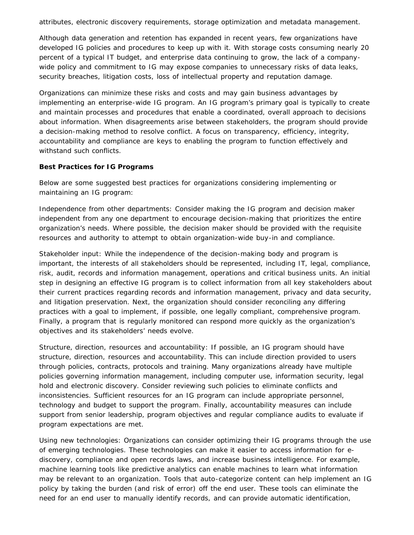attributes, electronic discovery requirements, storage optimization and metadata management.

Although data generation and retention has expanded in recent years, few organizations have developed IG policies and procedures to keep up with it. With storage costs consuming nearly 20 percent of a typical IT budget, and enterprise data continuing to grow, the lack of a companywide policy and commitment to IG may expose companies to unnecessary risks of data leaks, security breaches, litigation costs, loss of intellectual property and reputation damage.

Organizations can minimize these risks and costs and may gain business advantages by implementing an enterprise-wide IG program. An IG program's primary goal is typically to create and maintain processes and procedures that enable a coordinated, overall approach to decisions about information. When disagreements arise between stakeholders, the program should provide a decision-making method to resolve conflict. A focus on transparency, efficiency, integrity, accountability and compliance are keys to enabling the program to function effectively and withstand such conflicts.

#### **Best Practices for IG Programs**

Below are some suggested best practices for organizations considering implementing or maintaining an IG program:

*Independence from other departments*: Consider making the IG program and decision maker independent from any one department to encourage decision-making that prioritizes the entire organization's needs. Where possible, the decision maker should be provided with the requisite resources and authority to attempt to obtain organization-wide buy-in and compliance.

*Stakeholder input*: While the independence of the decision-making body and program is important, the interests of all stakeholders should be represented, including IT, legal, compliance, risk, audit, records and information management, operations and critical business units. An initial step in designing an effective IG program is to collect information from all key stakeholders about their current practices regarding records and information management, privacy and data security, and litigation preservation. Next, the organization should consider reconciling any differing practices with a goal to implement, if possible, one legally compliant, comprehensive program. Finally, a program that is regularly monitored can respond more quickly as the organization's objectives and its stakeholders' needs evolve.

*Structure, direction, resources and accountability*: If possible, an IG program should have structure, direction, resources and accountability. This can include direction provided to users through policies, contracts, protocols and training. Many organizations already have multiple policies governing information management, including computer use, information security, legal hold and electronic discovery. Consider reviewing such policies to eliminate conflicts and inconsistencies. Sufficient resources for an IG program can include appropriate personnel, technology and budget to support the program. Finally, accountability measures can include support from senior leadership, program objectives and regular compliance audits to evaluate if program expectations are met.

*Using new technologies*: Organizations can consider optimizing their IG programs through the use of emerging technologies. These technologies can make it easier to access information for ediscovery, compliance and open records laws, and increase business intelligence. For example, machine learning tools like predictive analytics can enable machines to learn what information may be relevant to an organization. Tools that auto-categorize content can help implement an IG policy by taking the burden (and risk of error) off the end user. These tools can eliminate the need for an end user to manually identify records, and can provide automatic identification,